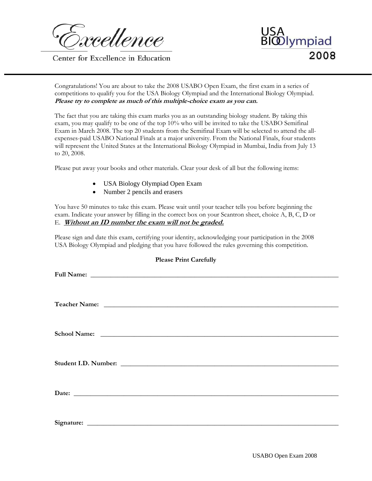rcellence

Center for Excellence in Education

٦



Congratulations! You are about to take the 2008 USABO Open Exam, the first exam in a series of competitions to qualify you for the USA Biology Olympiad and the International Biology Olympiad. **Please try to complete as much of this multiple-choice exam as you can.**

The fact that you are taking this exam marks you as an outstanding biology student. By taking this exam, you may qualify to be one of the top 10% who will be invited to take the USABO Semifinal Exam in March 2008. The top 20 students from the Semifinal Exam will be selected to attend the allexpenses-paid USABO National Finals at a major university. From the National Finals, four students will represent the United States at the International Biology Olympiad in Mumbai, India from July 13 to 20, 2008.

Please put away your books and other materials. Clear your desk of all but the following items:

- USA Biology Olympiad Open Exam
- Number 2 pencils and erasers

You have 50 minutes to take this exam. Please wait until your teacher tells you before beginning the exam. Indicate your answer by filling in the correct box on your Scantron sheet, choice A, B, C, D or E. **Without an ID number the exam will not be graded.**

Please sign and date this exam, certifying your identity, acknowledging your participation in the 2008 USA Biology Olympiad and pledging that you have followed the rules governing this competition.

| <b>Please Print Carefully</b>                                                                                                                                                                                                        |  |  |  |  |
|--------------------------------------------------------------------------------------------------------------------------------------------------------------------------------------------------------------------------------------|--|--|--|--|
|                                                                                                                                                                                                                                      |  |  |  |  |
| Teacher Name: <u>and the contract of the contract of the contract of the contract of the contract of the contract of the contract of the contract of the contract of the contract of the contract of the contract of the contrac</u> |  |  |  |  |
|                                                                                                                                                                                                                                      |  |  |  |  |
|                                                                                                                                                                                                                                      |  |  |  |  |
|                                                                                                                                                                                                                                      |  |  |  |  |
|                                                                                                                                                                                                                                      |  |  |  |  |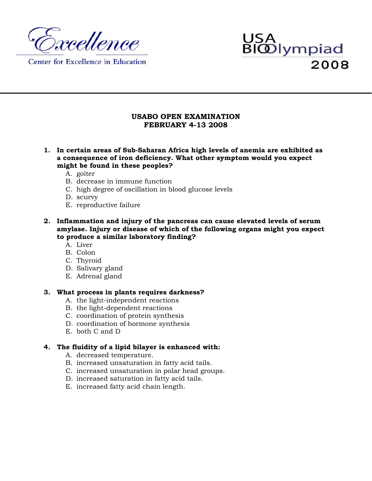

Center for Excellence in Education

# USA<br>BIOD lympiad 2008

# **USABO OPEN EXAMINATION FEBRUARY 4-13 2008**

- **1. In certain areas of Sub-Saharan Africa high levels of anemia are exhibited as a consequence of iron deficiency. What other symptom would you expect might be found in these peoples?** 
	- A. goiter
	- B. decrease in immune function
	- C. high degree of oscillation in blood glucose levels
	- D. scurvy
	- E. reproductive failure
- **2. Inflammation and injury of the pancreas can cause elevated levels of serum amylase. Injury or disease of which of the following organs might you expect to produce a similar laboratory finding?** 
	- A. Liver
	- B. Colon
	- C. Thyroid
	- D. Salivary gland
	- E. Adrenal gland

## **3. What process in plants requires darkness?**

- A. the light-independent reactions
- B. the light-dependent reactions
- C. coordination of protein synthesis
- D. coordination of hormone synthesis
- E. both C and D

# **4. The fluidity of a lipid bilayer is enhanced with:**

- A. decreased temperature.
- B. increased unsaturation in fatty acid tails.
- C. increased unsaturation in polar head groups.
- D. increased saturation in fatty acid tails.
- E. increased fatty acid chain length.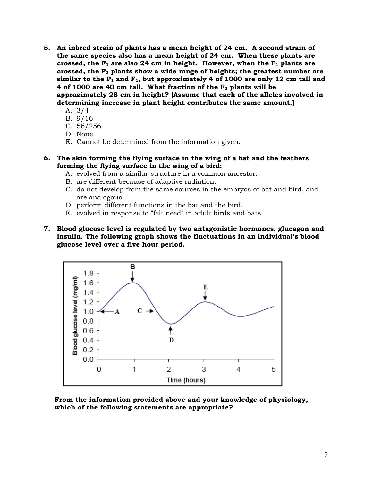- **5. An inbred strain of plants has a mean height of 24 cm. A second strain of the same species also has a mean height of 24 cm. When these plants are**  crossed, the  $F_1$  are also 24 cm in height. However, when the  $F_1$  plants are **crossed, the F2 plants show a wide range of heights; the greatest number are**  similar to the  $P_1$  and  $F_1$ , but approximately 4 of 1000 are only 12 cm tall and 4 of 1000 are 40 cm tall. What fraction of the  $F_2$  plants will be **approximately 28 cm in height? [Assume that each of the alleles involved in determining increase in plant height contributes the same amount.]** 
	- A. 3/4
	- B. 9/16
	- C. 56/256
	- D. None
	- E. Cannot be determined from the information given.
- **6. The skin forming the flying surface in the wing of a bat and the feathers forming the flying surface in the wing of a bird:** 
	- A. evolved from a similar structure in a common ancestor.
	- B. are different because of adaptive radiation.
	- C. do not develop from the same sources in the embryos of bat and bird, and are analogous.
	- D. perform different functions in the bat and the bird.
	- E. evolved in response to "felt need" in adult birds and bats.
- **7. Blood glucose level is regulated by two antagonistic hormones, glucagon and insulin. The following graph shows the fluctuations in an individual's blood glucose level over a five hour period.**



**From the information provided above and your knowledge of physiology, which of the following statements are appropriate?**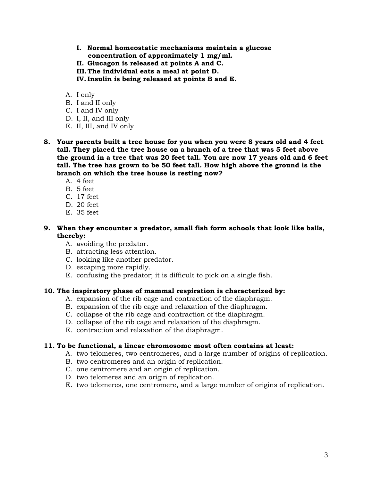- **I. Normal homeostatic mechanisms maintain a glucose concentration of approximately 1 mg/ml.**
- **II. Glucagon is released at points A and C.**
- **III.The individual eats a meal at point D.**
- **IV. Insulin is being released at points B and E.**
- A. I only
- B. I and II only
- C. I and IV only
- D. I, II, and III only
- E. II, III, and IV only
- **8. Your parents built a tree house for you when you were 8 years old and 4 feet tall. They placed the tree house on a branch of a tree that was 5 feet above the ground in a tree that was 20 feet tall. You are now 17 years old and 6 feet tall. The tree has grown to be 50 feet tall. How high above the ground is the branch on which the tree house is resting now?** 
	- A. 4 feet
	- B. 5 feet
	- C. 17 feet
	- D. 20 feet
	- E. 35 feet
- **9. When they encounter a predator, small fish form schools that look like balls, thereby:** 
	- A. avoiding the predator.
	- B. attracting less attention.
	- C. looking like another predator.
	- D. escaping more rapidly.
	- E. confusing the predator; it is difficult to pick on a single fish.

#### **10. The inspiratory phase of mammal respiration is characterized by:**

- A. expansion of the rib cage and contraction of the diaphragm.
- B. expansion of the rib cage and relaxation of the diaphragm.
- C. collapse of the rib cage and contraction of the diaphragm.
- D. collapse of the rib cage and relaxation of the diaphragm.
- E. contraction and relaxation of the diaphragm.

#### **11. To be functional, a linear chromosome most often contains at least:**

- A. two telomeres, two centromeres, and a large number of origins of replication.
- B. two centromeres and an origin of replication.
- C. one centromere and an origin of replication.
- D. two telomeres and an origin of replication.
- E. two telomeres, one centromere, and a large number of origins of replication.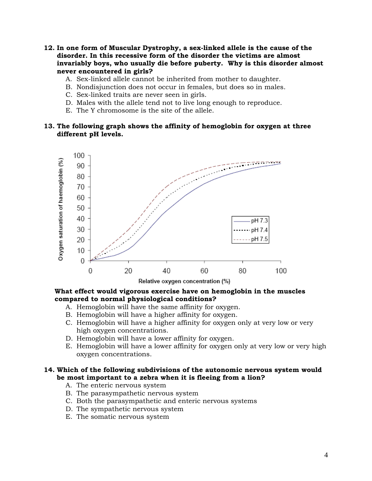- **12. In one form of Muscular Dystrophy, a sex-linked allele is the cause of the disorder. In this recessive form of the disorder the victims are almost invariably boys, who usually die before puberty. Why is this disorder almost never encountered in girls?** 
	- A. Sex-linked allele cannot be inherited from mother to daughter.
	- B. Nondisjunction does not occur in females, but does so in males.
	- C. Sex-linked traits are never seen in girls.
	- D. Males with the allele tend not to live long enough to reproduce.
	- E. The Y chromosome is the site of the allele.

## **13. The following graph shows the affinity of hemoglobin for oxygen at three different pH levels.**



#### **What effect would vigorous exercise have on hemoglobin in the muscles compared to normal physiological conditions?**

- A. Hemoglobin will have the same affinity for oxygen.
- B. Hemoglobin will have a higher affinity for oxygen.
- C. Hemoglobin will have a higher affinity for oxygen only at very low or very high oxygen concentrations.
- D. Hemoglobin will have a lower affinity for oxygen.
- E. Hemoglobin will have a lower affinity for oxygen only at very low or very high oxygen concentrations.

### **14. Which of the following subdivisions of the autonomic nervous system would be most important to a zebra when it is fleeing from a lion?**

- A. The enteric nervous system
- B. The parasympathetic nervous system
- C. Both the parasympathetic and enteric nervous systems
- D. The sympathetic nervous system
- E. The somatic nervous system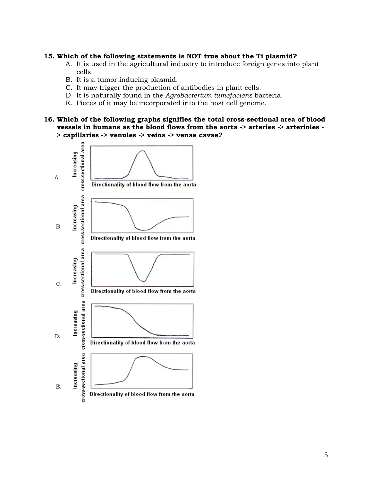#### **15. Which of the following statements is NOT true about the Ti plasmid?**

- A. It is used in the agricultural industry to introduce foreign genes into plant cells.
- B. It is a tumor inducing plasmid.
- C. It may trigger the production of antibodies in plant cells.
- D. It is naturally found in the *Agrobacterium tumefaciens* bacteria.
- E. Pieces of it may be incorporated into the host cell genome.
- **16. Which of the following graphs signifies the total cross-sectional area of blood vessels in humans as the blood flows from the aorta -> arteries -> arterioles - > capillaries -> venules -> veins -> venae cavae?**

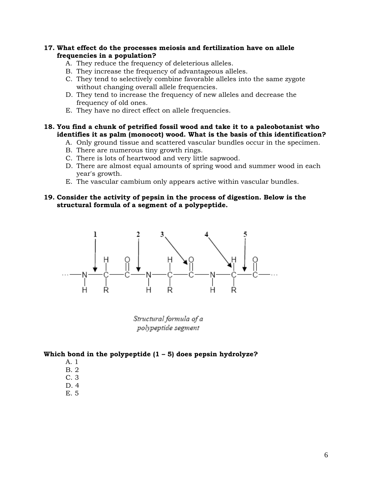## **17. What effect do the processes meiosis and fertilization have on allele frequencies in a population?**

- A. They reduce the frequency of deleterious alleles.
- B. They increase the frequency of advantageous alleles.
- C. They tend to selectively combine favorable alleles into the same zygote without changing overall allele frequencies.
- D. They tend to increase the frequency of new alleles and decrease the frequency of old ones.
- E. They have no direct effect on allele frequencies.

#### **18. You find a chunk of petrified fossil wood and take it to a paleobotanist who identifies it as palm (monocot) wood. What is the basis of this identification?**

- A. Only ground tissue and scattered vascular bundles occur in the specimen.
- B. There are numerous tiny growth rings.
- C. There is lots of heartwood and very little sapwood.
- D. There are almost equal amounts of spring wood and summer wood in each year's growth.
- E. The vascular cambium only appears active within vascular bundles.

## **19. Consider the activity of pepsin in the process of digestion. Below is the structural formula of a segment of a polypeptide.**



Structural formula of a polypeptide segment

## **Which bond in the polypeptide (1 – 5) does pepsin hydrolyze?**

- A. 1
- B. 2
- C. 3
- D. 4
- E. 5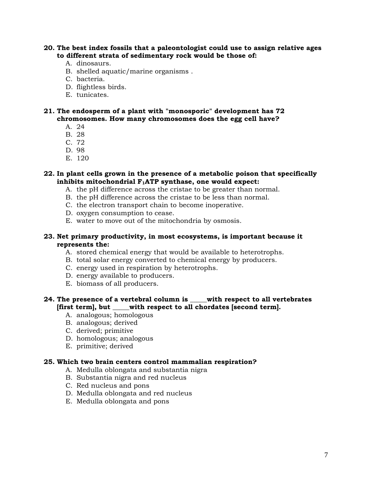**20. The best index fossils that a paleontologist could use to assign relative ages to different strata of sedimentary rock would be those of:** 

- A. dinosaurs.
- B. shelled aquatic/marine organisms .
- C. bacteria.
- D. flightless birds.
- E. tunicates.

**21. The endosperm of a plant with "monosporic" development has 72 chromosomes. How many chromosomes does the egg cell have?** 

- A. 24
- B. 28
- C. 72
- D. 98
- E. 120

#### **22. In plant cells grown in the presence of a metabolic poison that specifically**  inhibits mitochondrial F<sub>1</sub>ATP synthase, one would expect:

- A. the pH difference across the cristae to be greater than normal.
- B. the pH difference across the cristae to be less than normal.
- C. the electron transport chain to become inoperative.
- D. oxygen consumption to cease.
- E. water to move out of the mitochondria by osmosis.

#### **23. Net primary productivity, in most ecosystems, is important because it represents the:**

- A. stored chemical energy that would be available to heterotrophs.
- B. total solar energy converted to chemical energy by producers.
- C. energy used in respiration by heterotrophs.
- D. energy available to producers.
- E. biomass of all producers.

## **24. The presence of a vertebral column is \_\_\_\_\_with respect to all vertebrates [first term], but \_\_\_\_\_with respect to all chordates [second term].**

- A. analogous; homologous
- B. analogous; derived
- C. derived; primitive
- D. homologous; analogous
- E. primitive; derived

#### **25. Which two brain centers control mammalian respiration?**

- A. Medulla oblongata and substantia nigra
- B. Substantia nigra and red nucleus
- C. Red nucleus and pons
- D. Medulla oblongata and red nucleus
- E. Medulla oblongata and pons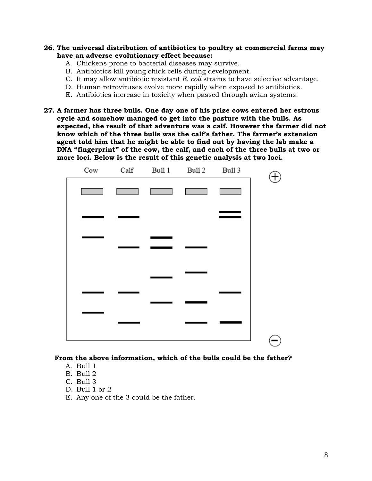- **26. The universal distribution of antibiotics to poultry at commercial farms may have an adverse evolutionary effect because:** 
	- A. Chickens prone to bacterial diseases may survive.
	- B. Antibiotics kill young chick cells during development.
	- C. It may allow antibiotic resistant *E. coli* strains to have selective advantage.
	- D. Human retroviruses evolve more rapidly when exposed to antibiotics.
	- E. Antibiotics increase in toxicity when passed through avian systems.
- **27. A farmer has three bulls. One day one of his prize cows entered her estrous cycle and somehow managed to get into the pasture with the bulls. As expected, the result of that adventure was a calf. However the farmer did not know which of the three bulls was the calf's father. The farmer's extension agent told him that he might be able to find out by having the lab make a DNA "fingerprint" of the cow, the calf, and each of the three bulls at two or more loci. Below is the result of this genetic analysis at two loci.**



#### **From the above information, which of the bulls could be the father?**

- A. Bull 1
- B. Bull 2
- C. Bull 3
- D. Bull 1 or 2
- E. Any one of the 3 could be the father.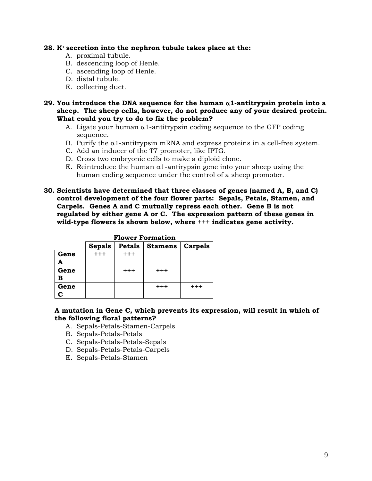#### **28. K+ secretion into the nephron tubule takes place at the:**

- A. proximal tubule.
- B. descending loop of Henle.
- C. ascending loop of Henle.
- D. distal tubule.
- E. collecting duct.
- **29. You introduce the DNA sequence for the human** α**1-antitrypsin protein into a sheep. The sheep cells, however, do not produce any of your desired protein. What could you try to do to fix the problem?** 
	- A. Ligate your human  $\alpha$ 1-antitrypsin coding sequence to the GFP coding sequence.
	- B. Purify the  $\alpha$ 1-antitrypsin mRNA and express proteins in a cell-free system.
	- C. Add an inducer of the T7 promoter, like IPTG.
	- D. Cross two embryonic cells to make a diploid clone.
	- E. Reintroduce the human  $\alpha$ 1-antirypsin gene into your sheep using the human coding sequence under the control of a sheep promoter.
- **30. Scientists have determined that three classes of genes (named A, B, and C) control development of the four flower parts: Sepals, Petals, Stamen, and Carpels. Genes A and C mutually repress each other. Gene B is not regulated by either gene A or C. The expression pattern of these genes in wild-type flowers is shown below, where +++ indicates gene activity.**

|      | r Iowci foihiación |               |                |                |  |  |
|------|--------------------|---------------|----------------|----------------|--|--|
|      | <b>Sepals</b>      | <b>Petals</b> | <b>Stamens</b> | <b>Carpels</b> |  |  |
| Gene | $+ + +$            | $+ + +$       |                |                |  |  |
|      |                    |               |                |                |  |  |
| Gene |                    | $+ + +$       | $^{+++}$       |                |  |  |
| В    |                    |               |                |                |  |  |
| Gene |                    |               | $+ + +$        | $+ + +$        |  |  |
|      |                    |               |                |                |  |  |

|  | <b>Flower Formation</b> |  |
|--|-------------------------|--|
|  |                         |  |

## **A mutation in Gene C, which prevents its expression, will result in which of the following floral patterns?**

- A. Sepals-Petals-Stamen-Carpels
- B. Sepals-Petals-Petals
- C. Sepals-Petals-Petals-Sepals
- D. Sepals-Petals-Petals-Carpels
- E. Sepals-Petals-Stamen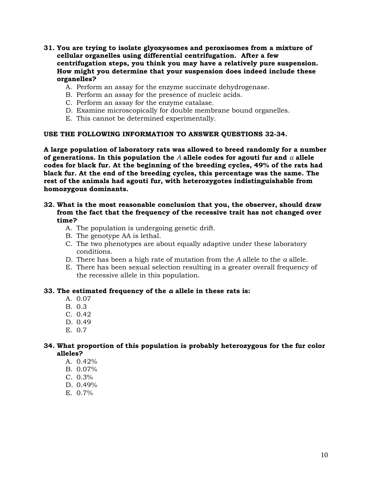- **31. You are trying to isolate glyoxysomes and peroxisomes from a mixture of cellular organelles using differential centrifugation. After a few centrifugation steps, you think you may have a relatively pure suspension. How might you determine that your suspension does indeed include these organelles?** 
	- A. Perform an assay for the enzyme succinate dehydrogenase.
	- B. Perform an assay for the presence of nucleic acids.
	- C. Perform an assay for the enzyme catalase.
	- D. Examine microscopically for double membrane bound organelles.
	- E. This cannot be determined experimentally.

## **USE THE FOLLOWING INFORMATION TO ANSWER QUESTIONS 32-34.**

**A large population of laboratory rats was allowed to breed randomly for a number of generations. In this population the** *A* **allele codes for agouti fur and** *a* **allele codes for black fur. At the beginning of the breeding cycles, 49% of the rats had black fur. At the end of the breeding cycles, this percentage was the same. The rest of the animals had agouti fur, with heterozygotes indistinguishable from homozygous dominants.** 

- **32. What is the most reasonable conclusion that you, the observer, should draw from the fact that the frequency of the recessive trait has not changed over time?** 
	- A. The population is undergoing genetic drift.
	- B. The genotype AA is lethal.
	- C. The two phenotypes are about equally adaptive under these laboratory conditions.
	- D. There has been a high rate of mutation from the *A* allele to the *a* allele.
	- E. There has been sexual selection resulting in a greater overall frequency of the recessive allele in this population.

#### **33. The estimated frequency of the** *a* **allele in these rats is:**

- A. 0.07
- B. 0.3
- C. 0.42
- D. 0.49
- E. 0.7

# **34. What proportion of this population is probably heterozygous for the fur color alleles?**

- A.  $0.42\%$
- B. 0.07%
- C. 0.3%
- D. 0.49%
- E. 0.7%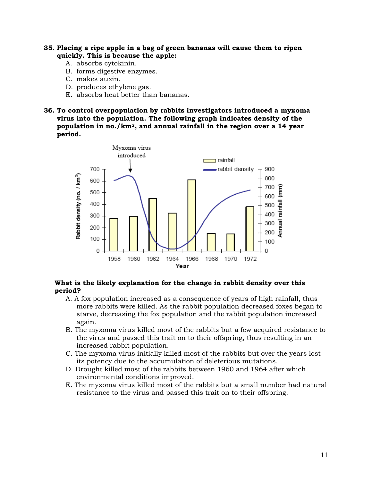- **35. Placing a ripe apple in a bag of green bananas will cause them to ripen quickly. This is because the apple:** 
	- A. absorbs cytokinin.
	- B. forms digestive enzymes.
	- C. makes auxin.
	- D. produces ethylene gas.
	- E. absorbs heat better than bananas.
- **36. To control overpopulation by rabbits investigators introduced a myxoma virus into the population. The following graph indicates density of the population in no./km2, and annual rainfall in the region over a 14 year period.**



#### **What is the likely explanation for the change in rabbit density over this period?**

- A. A fox population increased as a consequence of years of high rainfall, thus more rabbits were killed. As the rabbit population decreased foxes began to starve, decreasing the fox population and the rabbit population increased again.
- B. The myxoma virus killed most of the rabbits but a few acquired resistance to the virus and passed this trait on to their offspring, thus resulting in an increased rabbit population.
- C. The myxoma virus initially killed most of the rabbits but over the years lost its potency due to the accumulation of deleterious mutations.
- D. Drought killed most of the rabbits between 1960 and 1964 after which environmental conditions improved.
- E. The myxoma virus killed most of the rabbits but a small number had natural resistance to the virus and passed this trait on to their offspring.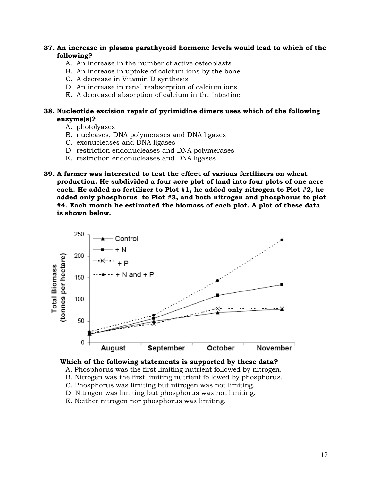## **37. An increase in plasma parathyroid hormone levels would lead to which of the following?**

- A. An increase in the number of active osteoblasts
- B. An increase in uptake of calcium ions by the bone
- C. A decrease in Vitamin D synthesis
- D. An increase in renal reabsorption of calcium ions
- E. A decreased absorption of calcium in the intestine

## **38. Nucleotide excision repair of pyrimidine dimers uses which of the following enzyme(s)?**

- A. photolyases
- B. nucleases, DNA polymerases and DNA ligases
- C. exonucleases and DNA ligases
- D. restriction endonucleases and DNA polymerases
- E. restriction endonucleases and DNA ligases
- **39. A farmer was interested to test the effect of various fertilizers on wheat production. He subdivided a four acre plot of land into four plots of one acre each. He added no fertilizer to Plot #1, he added only nitrogen to Plot #2, he added only phosphorus to Plot #3, and both nitrogen and phosphorus to plot #4. Each month he estimated the biomass of each plot. A plot of these data is shown below.**



#### **Which of the following statements is supported by these data?**

- A. Phosphorus was the first limiting nutrient followed by nitrogen.
- B. Nitrogen was the first limiting nutrient followed by phosphorus.
- C. Phosphorus was limiting but nitrogen was not limiting.
- D. Nitrogen was limiting but phosphorus was not limiting.
- E. Neither nitrogen nor phosphorus was limiting.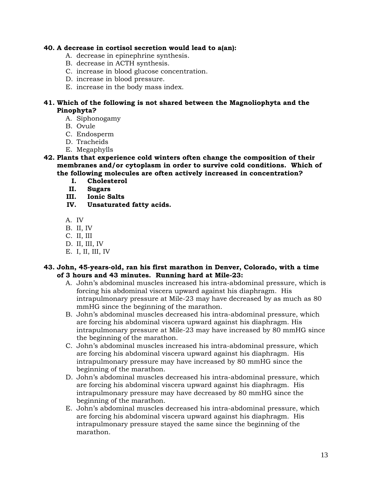## **40. A decrease in cortisol secretion would lead to a(an):**

- A. decrease in epinephrine synthesis.
- B. decrease in ACTH synthesis.
- C. increase in blood glucose concentration.
- D. increase in blood pressure.
- E. increase in the body mass index.

# **41. Which of the following is not shared between the Magnoliophyta and the Pinophyta?**

- A. Siphonogamy
- B. Ovule
- C. Endosperm
- D. Tracheids
- E. Megaphylls
- **42. Plants that experience cold winters often change the composition of their membranes and/or cytoplasm in order to survive cold conditions. Which of the following molecules are often actively increased in concentration?** 
	- **I. Cholesterol**
	- **II. Sugars**
	- **III. Ionic Salts**
	- **IV. Unsaturated fatty acids.**
	- A. IV
	- B. II, IV
	- C. II, III
	- D. II, III, IV
	- E. I, II, III, IV

## **43. John, 45-years-old, ran his first marathon in Denver, Colorado, with a time of 3 hours and 43 minutes. Running hard at Mile-23:**

- A. John's abdominal muscles increased his intra-abdominal pressure, which is forcing his abdominal viscera upward against his diaphragm. His intrapulmonary pressure at Mile-23 may have decreased by as much as 80 mmHG since the beginning of the marathon.
- B. John's abdominal muscles decreased his intra-abdominal pressure, which are forcing his abdominal viscera upward against his diaphragm. His intrapulmonary pressure at Mile-23 may have increased by 80 mmHG since the beginning of the marathon.
- C. John's abdominal muscles increased his intra-abdominal pressure, which are forcing his abdominal viscera upward against his diaphragm. His intrapulmonary pressure may have increased by 80 mmHG since the beginning of the marathon.
- D. John's abdominal muscles decreased his intra-abdominal pressure, which are forcing his abdominal viscera upward against his diaphragm. His intrapulmonary pressure may have decreased by 80 mmHG since the beginning of the marathon.
- E. John's abdominal muscles decreased his intra-abdominal pressure, which are forcing his abdominal viscera upward against his diaphragm. His intrapulmonary pressure stayed the same since the beginning of the marathon.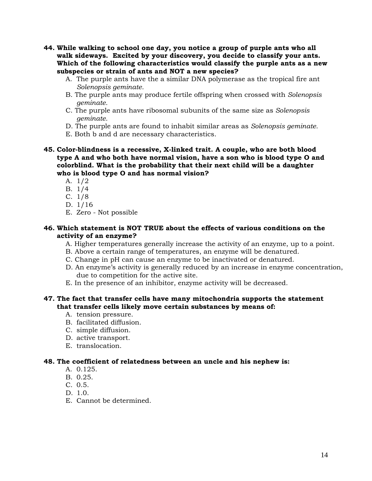- **44. While walking to school one day, you notice a group of purple ants who all walk sideways. Excited by your discovery, you decide to classify your ants. Which of the following characteristics would classify the purple ants as a new subspecies or strain of ants and NOT a new species?** 
	- A. The purple ants have the a similar DNA polymerase as the tropical fire ant *Solenopsis geminate.*
	- B. The purple ants may produce fertile offspring when crossed with *Solenopsis geminate.*
	- C. The purple ants have ribosomal subunits of the same size as *Solenopsis geminate.*
	- D. The purple ants are found to inhabit similar areas as *Solenopsis geminate.*
	- E. Both b and d are necessary characteristics.

**45. Color-blindness is a recessive, X-linked trait. A couple, who are both blood type A and who both have normal vision, have a son who is blood type O and colorblind. What is the probability that their next child will be a daughter who is blood type O and has normal vision?** 

- A. 1/2
- B. 1/4
- C. 1/8
- D. 1/16
- E. Zero Not possible

## **46. Which statement is NOT TRUE about the effects of various conditions on the activity of an enzyme?**

- A. Higher temperatures generally increase the activity of an enzyme, up to a point.
- B. Above a certain range of temperatures, an enzyme will be denatured.
- C. Change in pH can cause an enzyme to be inactivated or denatured.
- D. An enzyme's activity is generally reduced by an increase in enzyme concentration, due to competition for the active site.
- E. In the presence of an inhibitor, enzyme activity will be decreased.

## **47. The fact that transfer cells have many mitochondria supports the statement that transfer cells likely move certain substances by means of:**

- A. tension pressure.
- B. facilitated diffusion.
- C. simple diffusion.
- D. active transport.
- E. translocation.

#### **48. The coefficient of relatedness between an uncle and his nephew is:**

- A. 0.125.
- B. 0.25.
- C. 0.5.
- D. 1.0.
- E. Cannot be determined.